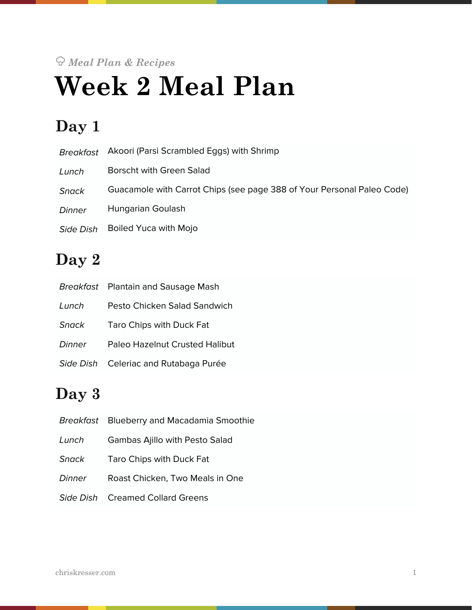# *Meal Plan & Recipes* **Week 2 Meal Plan**

# **Day 1**

| Breakfast        | Akoori (Parsi Scrambled Eggs) with Shrimp                              |
|------------------|------------------------------------------------------------------------|
| Lunch            | Borscht with Green Salad                                               |
| <b>Snack</b>     | Guacamole with Carrot Chips (see page 388 of Your Personal Paleo Code) |
| Dinner           | Hungarian Goulash                                                      |
| <b>Side Dish</b> | <b>Boiled Yuca with Mojo</b>                                           |

# **Day 2**

|              | Breakfast Plantain and Sausage Mash   |
|--------------|---------------------------------------|
| Lunch        | Pesto Chicken Salad Sandwich          |
| <b>Snack</b> | Taro Chips with Duck Fat              |
| Dinner       | Paleo Hazelnut Crusted Halibut        |
|              | Side Dish Celeriac and Rutabaga Purée |

# **Day 3**

|              | Breakfast Blueberry and Macadamia Smoothie |
|--------------|--------------------------------------------|
| Lunch        | <b>Gambas Ajillo with Pesto Salad</b>      |
| <b>Snack</b> | Taro Chips with Duck Fat                   |
| Dinner       | Roast Chicken, Two Meals in One            |
|              | Side Dish Creamed Collard Greens           |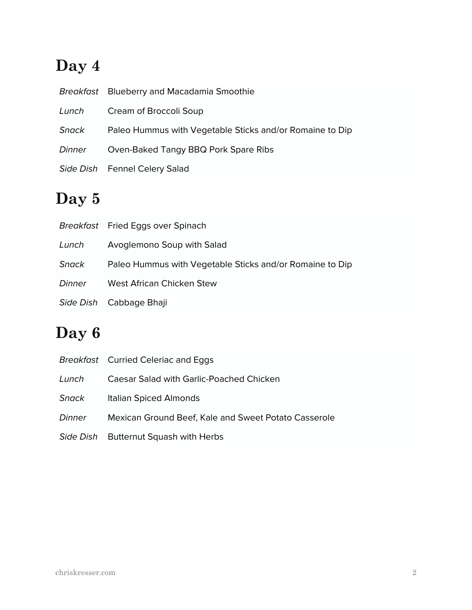# **Day 4**

|        | Breakfast Blueberry and Macadamia Smoothie               |
|--------|----------------------------------------------------------|
| Lunch  | Cream of Broccoli Soup                                   |
| Snack  | Paleo Hummus with Vegetable Sticks and/or Romaine to Dip |
| Dinner | Oven-Baked Tangy BBQ Pork Spare Ribs                     |
|        | Side Dish Fennel Celery Salad                            |

# **Day 5**

|        | Breakfast Fried Eggs over Spinach                        |
|--------|----------------------------------------------------------|
| Lunch  | Avoglemono Soup with Salad                               |
| Snack  | Paleo Hummus with Vegetable Sticks and/or Romaine to Dip |
| Dinner | West African Chicken Stew                                |
|        | Side Dish Cabbage Bhaji                                  |

# **Day 6**

|        | <b>Breakfast</b> Curried Celeriac and Eggs           |
|--------|------------------------------------------------------|
| Lunch  | Caesar Salad with Garlic-Poached Chicken             |
| Snack  | Italian Spiced Almonds                               |
| Dinner | Mexican Ground Beef, Kale and Sweet Potato Casserole |
|        | Side Dish Butternut Squash with Herbs                |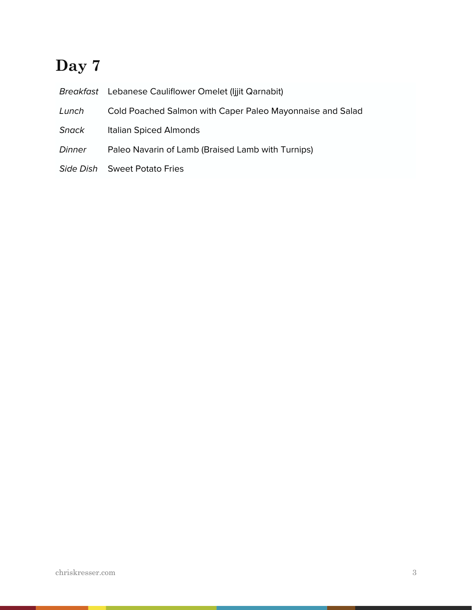# **Day 7**

|        | Breakfast Lebanese Cauliflower Omelet (lijit Qarnabit)    |
|--------|-----------------------------------------------------------|
| Lunch  | Cold Poached Salmon with Caper Paleo Mayonnaise and Salad |
| Snack  | Italian Spiced Almonds                                    |
| Dinner | Paleo Navarin of Lamb (Braised Lamb with Turnips)         |
|        | Side Dish Sweet Potato Fries                              |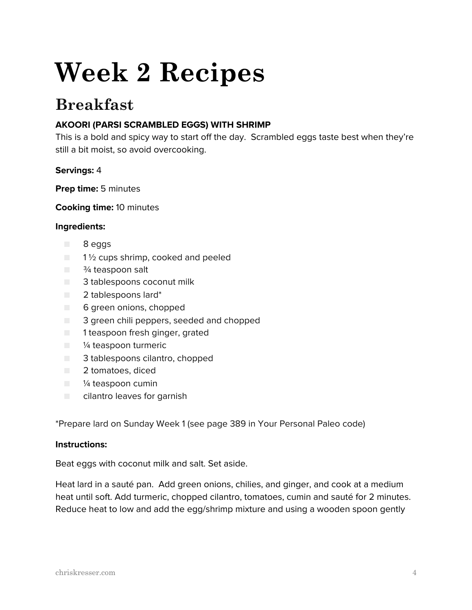# **Week 2 Recipes**

# **Breakfast**

# **AKOORI (PARSI SCRAMBLED EGGS) WITH SHRIMP**

This is a bold and spicy way to start off the day. Scrambled eggs taste best when they're still a bit moist, so avoid overcooking.

# **Servings:** 4

**Prep time:** 5 minutes

**Cooking time:** 10 minutes

#### **Ingredients:**

- 8 eggs
- $\Box$  1  $\frac{1}{2}$  cups shrimp, cooked and peeled
- $\Box$   $\frac{3}{4}$  teaspoon salt
- 3 tablespoons coconut milk
- 2 tablespoons lard\*
- 6 green onions, chopped
- 3 green chili peppers, seeded and chopped
- 1 teaspoon fresh ginger, grated
- <sup>1/4</sup> teaspoon turmeric
- 3 tablespoons cilantro, chopped
- 2 tomatoes, diced
- <sup>1/4</sup> teaspoon cumin
- cilantro leaves for garnish

\*Prepare lard on Sunday Week 1 (see page 389 in Your Personal Paleo code)

#### **Instructions:**

Beat eggs with coconut milk and salt. Set aside.

Heat lard in a sauté pan. Add green onions, chilies, and ginger, and cook at a medium heat until soft. Add turmeric, chopped cilantro, tomatoes, cumin and sauté for 2 minutes. Reduce heat to low and add the egg/shrimp mixture and using a wooden spoon gently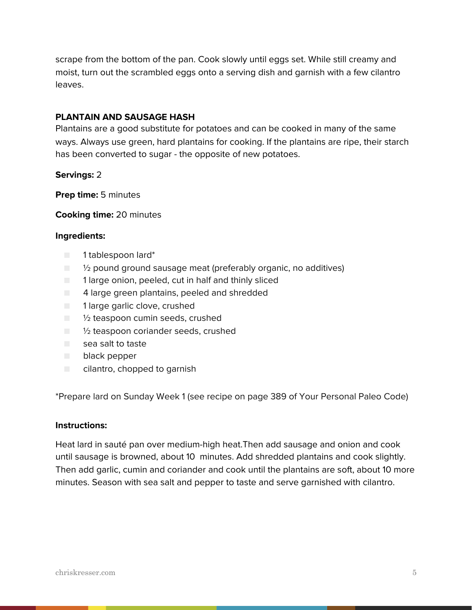scrape from the bottom of the pan. Cook slowly until eggs set. While still creamy and moist, turn out the scrambled eggs onto a serving dish and garnish with a few cilantro leaves.

### **PLANTAIN AND SAUSAGE HASH**

Plantains are a good substitute for potatoes and can be cooked in many of the same ways. Always use green, hard plantains for cooking. If the plantains are ripe, their starch has been converted to sugar - the opposite of new potatoes.

#### **Servings:** 2

**Prep time:** 5 minutes

#### **Cooking time:** 20 minutes

#### **Ingredients:**

- 1 tablespoon lard\*
- $\Box$   $\%$  pound ground sausage meat (preferably organic, no additives)
- 1 large onion, peeled, cut in half and thinly sliced
- 4 large green plantains, peeled and shredded
- 1 large garlic clove, crushed
- ½ teaspoon cumin seeds, crushed
- $\Box$  1/<sub>2</sub> teaspoon coriander seeds, crushed
- sea salt to taste
- black pepper
- cilantro, chopped to garnish

\*Prepare lard on Sunday Week 1 (see recipe on page 389 of Your Personal Paleo Code)

#### **Instructions:**

Heat lard in sauté pan over medium-high heat.Then add sausage and onion and cook until sausage is browned, about 10 minutes. Add shredded plantains and cook slightly. Then add garlic, cumin and coriander and cook until the plantains are soft, about 10 more minutes. Season with sea salt and pepper to taste and serve garnished with cilantro.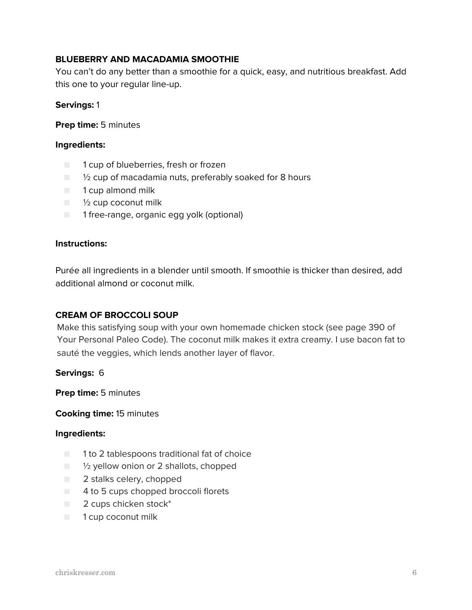# **BLUEBERRY AND MACADAMIA SMOOTHIE**

You can't do any better than a smoothie for a quick, easy, and nutritious breakfast. Add this one to your regular line-up.

#### **Servings:** 1

#### **Prep time:** 5 minutes

#### **Ingredients:**

- 1 cup of blueberries, fresh or frozen
- <sup>1</sup>/<sub>2</sub> cup of macadamia nuts, preferably soaked for 8 hours
- 1 cup almond milk
- $\blacksquare$   $\frac{1}{2}$  cup coconut milk
- 1 free-range, organic egg yolk (optional)

#### **Instructions:**

Purée all ingredients in a blender until smooth. If smoothie is thicker than desired, add additional almond or coconut milk.

#### **CREAM OF BROCCOLI SOUP**

Make this satisfying soup with your own homemade chicken stock (see page 390 of Your Personal Paleo Code). The coconut milk makes it extra creamy. I use bacon fat to sauté the veggies, which lends another layer of flavor.

**Servings:** 6

**Prep time:** 5 minutes

#### **Cooking time:** 15 minutes

- 1 to 2 tablespoons traditional fat of choice
- <sup>1</sup>/<sub>2</sub> yellow onion or 2 shallots, chopped
- 2 stalks celery, chopped
- 4 to 5 cups chopped broccoli florets
- 2 cups chicken stock<sup>\*</sup>
- 1 cup coconut milk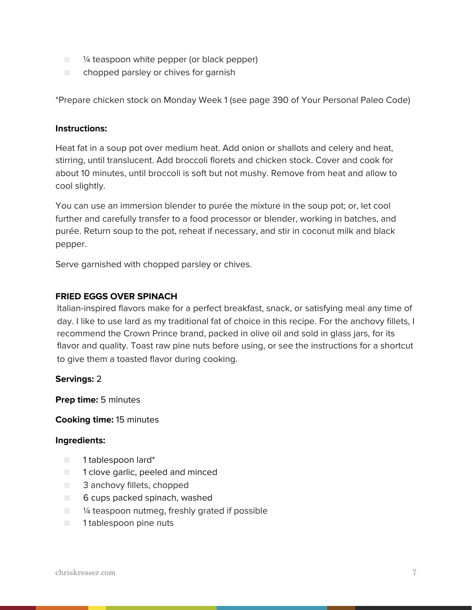- $\Box$   $\frac{1}{4}$  teaspoon white pepper (or black pepper)
- chopped parsley or chives for garnish

\*Prepare chicken stock on Monday Week 1 (see page 390 of Your Personal Paleo Code)

#### **Instructions:**

Heat fat in a soup pot over medium heat. Add onion or shallots and celery and heat, stirring, until translucent. Add broccoli florets and chicken stock. Cover and cook for about 10 minutes, until broccoli is soft but not mushy. Remove from heat and allow to cool slightly.

You can use an immersion blender to purée the mixture in the soup pot; or, let cool further and carefully transfer to a food processor or blender, working in batches, and purée. Return soup to the pot, reheat if necessary, and stir in coconut milk and black pepper.

Serve garnished with chopped parsley or chives.

#### **FRIED EGGS OVER SPINACH**

Italian-inspired flavors make for a perfect breakfast, snack, or satisfying meal any time of day. I like to use lard as my traditional fat of choice in this recipe. For the anchovy fillets, I recommend the Crown Prince brand, packed in olive oil and sold in glass jars, for its flavor and quality. Toast raw pine nuts before using, or see the instructions for a shortcut to give them a toasted flavor during cooking.

#### **Servings:** 2

**Prep time:** 5 minutes

#### **Cooking time:** 15 minutes

- 1 tablespoon lard\*
- 1 clove garlic, peeled and minced
- 3 anchovy fillets, chopped
- 6 cups packed spinach, washed
- $\Box$  % teaspoon nutmeg, freshly grated if possible
- 1 tablespoon pine nuts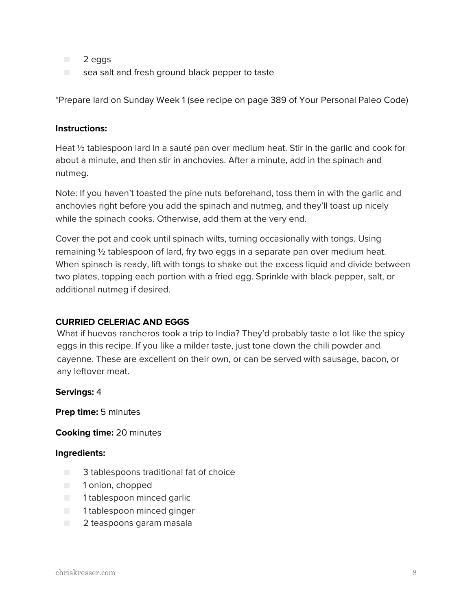- 2 eggs
- $\Box$  sea salt and fresh ground black pepper to taste

\*Prepare lard on Sunday Week 1 (see recipe on page 389 of Your Personal Paleo Code)

#### **Instructions:**

Heat <sup>1</sup>/<sub>2</sub> tablespoon lard in a sauté pan over medium heat. Stir in the garlic and cook for about a minute, and then stir in anchovies. After a minute, add in the spinach and nutmeg.

Note: If you haven't toasted the pine nuts beforehand, toss them in with the garlic and anchovies right before you add the spinach and nutmeg, and they'll toast up nicely while the spinach cooks. Otherwise, add them at the very end.

Cover the pot and cook until spinach wilts, turning occasionally with tongs. Using remaining ½ tablespoon of lard, fry two eggs in a separate pan over medium heat. When spinach is ready, lift with tongs to shake out the excess liquid and divide between two plates, topping each portion with a fried egg. Sprinkle with black pepper, salt, or additional nutmeg if desired.

# **CURRIED CELERIAC AND EGGS**

What if huevos rancheros took a trip to India? They'd probably taste a lot like the spicy eggs in this recipe. If you like a milder taste, just tone down the chili powder and cayenne. These are excellent on their own, or can be served with sausage, bacon, or any leftover meat.

#### **Servings:** 4

**Prep time:** 5 minutes

#### **Cooking time:** 20 minutes

- 3 tablespoons traditional fat of choice
- 1 onion, chopped
- 1 tablespoon minced garlic
- 1 tablespoon minced ginger
- 2 teaspoons garam masala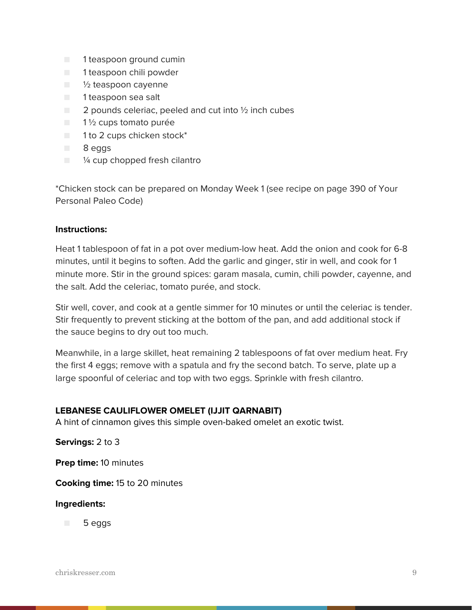- 1 teaspoon ground cumin
- 1 teaspoon chili powder
- 1/2 teaspoon cayenne
- 1 teaspoon sea salt
- 2 pounds celeriac, peeled and cut into ½ inch cubes
- 1½ cups tomato purée
- 1 to 2 cups chicken stock<sup>\*</sup>
- 8 eggs
- $\Box$  % cup chopped fresh cilantro

\*Chicken stock can be prepared on Monday Week 1 (see recipe on page 390 of Your Personal Paleo Code)

#### **Instructions:**

Heat 1 tablespoon of fat in a pot over medium-low heat. Add the onion and cook for 6-8 minutes, until it begins to soften. Add the garlic and ginger, stir in well, and cook for 1 minute more. Stir in the ground spices: garam masala, cumin, chili powder, cayenne, and the salt. Add the celeriac, tomato purée, and stock.

Stir well, cover, and cook at a gentle simmer for 10 minutes or until the celeriac is tender. Stir frequently to prevent sticking at the bottom of the pan, and add additional stock if the sauce begins to dry out too much.

Meanwhile, in a large skillet, heat remaining 2 tablespoons of fat over medium heat. Fry the first 4 eggs; remove with a spatula and fry the second batch. To serve, plate up a large spoonful of celeriac and top with two eggs. Sprinkle with fresh cilantro.

# **LEBANESE CAULIFLOWER OMELET (IJJIT QARNABIT)**

A hint of cinnamon gives this simple oven-baked omelet an exotic twist.

**Servings:** 2 to 3

**Prep time:** 10 minutes

**Cooking time:** 15 to 20 minutes

#### **Ingredients:**

■ 5 eggs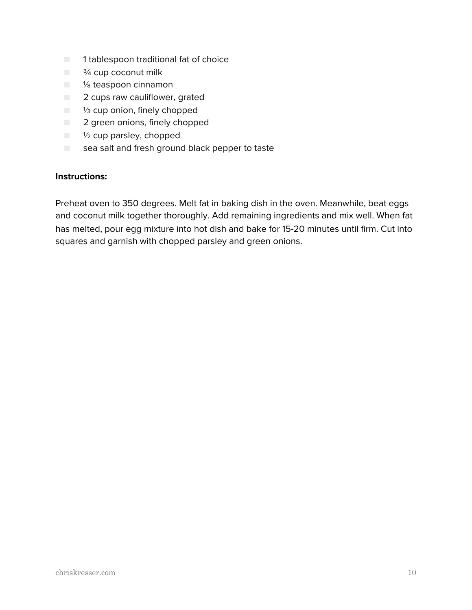- 1 tablespoon traditional fat of choice
- $\blacksquare$   $\frac{3}{4}$  cup coconut milk
- <sup>1</sup>/<sub>8</sub> teaspoon cinnamon
- 2 cups raw cauliflower, grated
- <sup>1/3</sup> cup onion, finely chopped
- 2 green onions, finely chopped
- ½ cup parsley, chopped
- $\Box$  sea salt and fresh ground black pepper to taste

Preheat oven to 350 degrees. Melt fat in baking dish in the oven. Meanwhile, beat eggs and coconut milk together thoroughly. Add remaining ingredients and mix well. When fat has melted, pour egg mixture into hot dish and bake for 15-20 minutes until firm. Cut into squares and garnish with chopped parsley and green onions.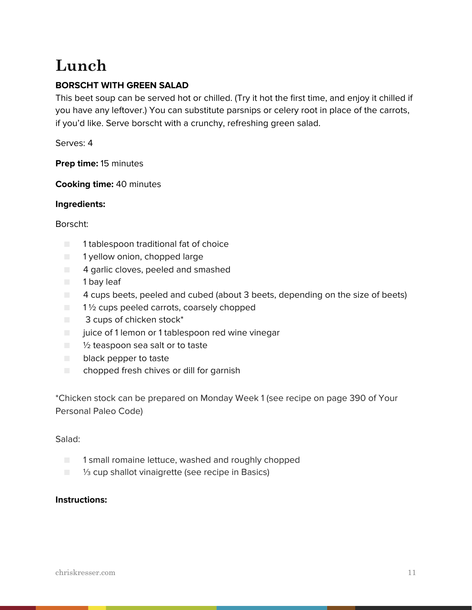# **Lunch**

# **BORSCHT WITH GREEN SALAD**

This beet soup can be served hot or chilled. (Try it hot the first time, and enjoy it chilled if you have any leftover.) You can substitute parsnips or celery root in place of the carrots, if you'd like. Serve borscht with a crunchy, refreshing green salad.

Serves: 4

**Prep time:** 15 minutes

**Cooking time:** 40 minutes

# **Ingredients:**

# Borscht:

- 1 tablespoon traditional fat of choice
- 1 yellow onion, chopped large
- 4 garlic cloves, peeled and smashed
- 1 bay leaf
- 4 cups beets, peeled and cubed (about 3 beets, depending on the size of beets)
- $\blacksquare$  1  $\frac{1}{2}$  cups peeled carrots, coarsely chopped
- 3 cups of chicken stock<sup>\*</sup>
- juice of 1 lemon or 1 tablespoon red wine vinegar
- $\Box$   $\frac{1}{2}$  teaspoon sea salt or to taste
- black pepper to taste
- $\Box$  chopped fresh chives or dill for garnish

\*Chicken stock can be prepared on Monday Week 1 (see recipe on page 390 of Your Personal Paleo Code)

# Salad:

- 1 small romaine lettuce, washed and roughly chopped
- <sup>1/3</sup> cup shallot vinaigrette (see recipe in Basics)

# **Instructions:**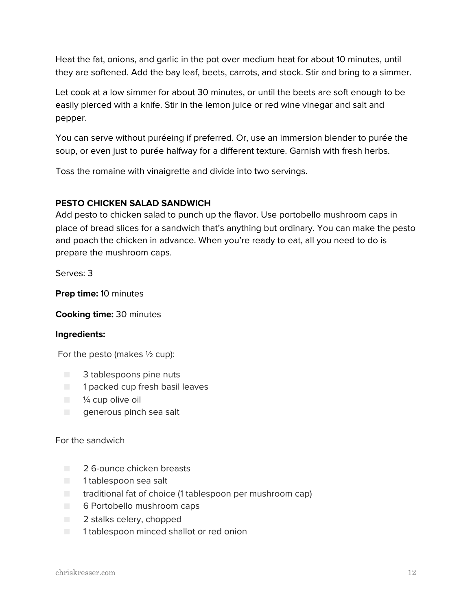Heat the fat, onions, and garlic in the pot over medium heat for about 10 minutes, until they are softened. Add the bay leaf, beets, carrots, and stock. Stir and bring to a simmer.

Let cook at a low simmer for about 30 minutes, or until the beets are soft enough to be easily pierced with a knife. Stir in the lemon juice or red wine vinegar and salt and pepper.

You can serve without puréeing if preferred. Or, use an immersion blender to purée the soup, or even just to purée halfway for a different texture. Garnish with fresh herbs.

Toss the romaine with vinaigrette and divide into two servings.

# **PESTO CHICKEN SALAD SANDWICH**

Add pesto to chicken salad to punch up the flavor. Use portobello mushroom caps in place of bread slices for a sandwich that's anything but ordinary. You can make the pesto and poach the chicken in advance. When you're ready to eat, all you need to do is prepare the mushroom caps.

Serves: 3

**Prep time:** 10 minutes

**Cooking time:** 30 minutes

# **Ingredients:**

For the pesto (makes  $\frac{1}{2}$  cup):

- 3 tablespoons pine nuts
- 1 packed cup fresh basil leaves
- $\blacksquare$   $\frac{1}{4}$  cup olive oil
- generous pinch sea salt

# For the sandwich

- 2.6-ounce chicken breasts
- 1 tablespoon sea salt
- traditional fat of choice (1 tablespoon per mushroom cap)
- 6 Portobello mushroom caps
- 2 stalks celery, chopped
- 1 tablespoon minced shallot or red onion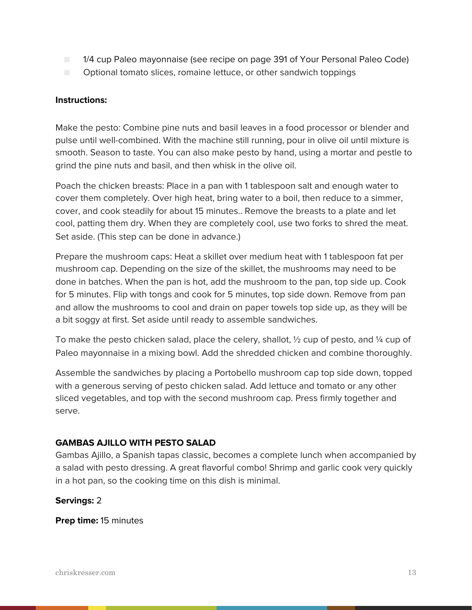- 1/4 cup Paleo mayonnaise (see recipe on page 391 of Your Personal Paleo Code)
- Optional tomato slices, romaine lettuce, or other sandwich toppings

Make the pesto: Combine pine nuts and basil leaves in a food processor or blender and pulse until well-combined. With the machine still running, pour in olive oil until mixture is smooth. Season to taste. You can also make pesto by hand, using a mortar and pestle to grind the pine nuts and basil, and then whisk in the olive oil.

Poach the chicken breasts: Place in a pan with 1 tablespoon salt and enough water to cover them completely. Over high heat, bring water to a boil, then reduce to a simmer, cover, and cook steadily for about 15 minutes.. Remove the breasts to a plate and let cool, patting them dry. When they are completely cool, use two forks to shred the meat. Set aside. (This step can be done in advance.)

Prepare the mushroom caps: Heat a skillet over medium heat with 1 tablespoon fat per mushroom cap. Depending on the size of the skillet, the mushrooms may need to be done in batches. When the pan is hot, add the mushroom to the pan, top side up. Cook for 5 minutes. Flip with tongs and cook for 5 minutes, top side down. Remove from pan and allow the mushrooms to cool and drain on paper towels top side up, as they will be a bit soggy at first. Set aside until ready to assemble sandwiches.

To make the pesto chicken salad, place the celery, shallot,  $\frac{1}{2}$  cup of pesto, and  $\frac{1}{4}$  cup of Paleo mayonnaise in a mixing bowl. Add the shredded chicken and combine thoroughly.

Assemble the sandwiches by placing a Portobello mushroom cap top side down, topped with a generous serving of pesto chicken salad. Add lettuce and tomato or any other sliced vegetables, and top with the second mushroom cap. Press firmly together and serve.

# **GAMBAS AJILLO WITH PESTO SALAD**

Gambas Ajillo, a Spanish tapas classic, becomes a complete lunch when accompanied by a salad with pesto dressing. A great flavorful combo! Shrimp and garlic cook very quickly in a hot pan, so the cooking time on this dish is minimal.

# **Servings:** 2

**Prep time:** 15 minutes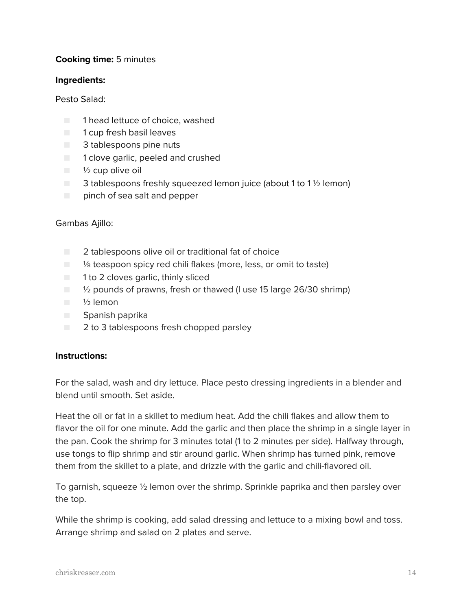# **Cooking time:** 5 minutes

#### **Ingredients:**

### Pesto Salad:

- 1 head lettuce of choice, washed
- 1 cup fresh basil leaves
- 3 tablespoons pine nuts
- 1 clove garlic, peeled and crushed
- $\blacksquare$   $\frac{1}{2}$  cup olive oil
- $\Box$  3 tablespoons freshly squeezed lemon juice (about 1 to 1  $\frac{1}{2}$  lemon)
- pinch of sea salt and pepper

# Gambas Ajillo:

- 2 tablespoons olive oil or traditional fat of choice
- <sup>1</sup>/<sub>8</sub> teaspoon spicy red chili flakes (more, less, or omit to taste)
- 1 to 2 cloves garlic, thinly sliced
- <sup>1</sup>/<sub>2</sub> pounds of prawns, fresh or thawed (I use 15 large 26/30 shrimp)
- ½ lemon
- Spanish paprika
- 2 to 3 tablespoons fresh chopped parsley

# **Instructions:**

For the salad, wash and dry lettuce. Place pesto dressing ingredients in a blender and blend until smooth. Set aside.

Heat the oil or fat in a skillet to medium heat. Add the chili flakes and allow them to flavor the oil for one minute. Add the garlic and then place the shrimp in a single layer in the pan. Cook the shrimp for 3 minutes total (1 to 2 minutes per side). Halfway through, use tongs to flip shrimp and stir around garlic. When shrimp has turned pink, remove them from the skillet to a plate, and drizzle with the garlic and chili-flavored oil.

To garnish, squeeze ½ lemon over the shrimp. Sprinkle paprika and then parsley over the top.

While the shrimp is cooking, add salad dressing and lettuce to a mixing bowl and toss. Arrange shrimp and salad on 2 plates and serve.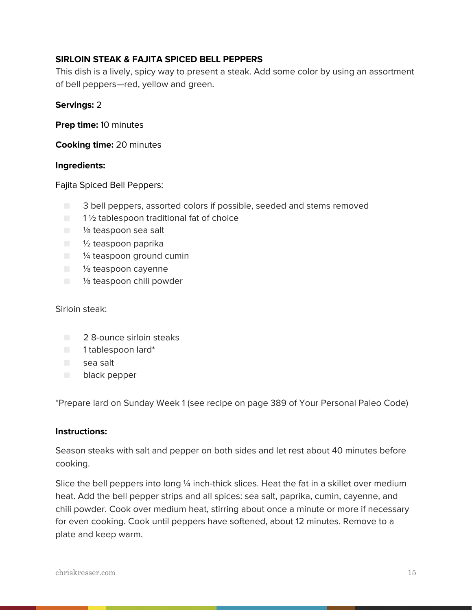# **SIRLOIN STEAK & FAJITA SPICED BELL PEPPERS**

This dish is a lively, spicy way to present a steak. Add some color by using an assortment of bell peppers—red, yellow and green.

#### **Servings:** 2

**Prep time:** 10 minutes

**Cooking time:** 20 minutes

#### **Ingredients:**

Fajita Spiced Bell Peppers:

- 3 bell peppers, assorted colors if possible, seeded and stems removed
- $\blacksquare$  1 1/2 tablespoon traditional fat of choice
- 1/<sub>8</sub> teaspoon sea salt
- ½ teaspoon paprika
- <sup>1/4</sup> teaspoon ground cumin
- <sup>1/8</sup> teaspoon cayenne
- <sup>1</sup>/<sub>8</sub> teaspoon chili powder

Sirloin steak:

- 2 8-ounce sirloin steaks
- 1 tablespoon lard\*
- sea salt
- black pepper

\*Prepare lard on Sunday Week 1 (see recipe on page 389 of Your Personal Paleo Code)

#### **Instructions:**

Season steaks with salt and pepper on both sides and let rest about 40 minutes before cooking.

Slice the bell peppers into long ¼ inch-thick slices. Heat the fat in a skillet over medium heat. Add the bell pepper strips and all spices: sea salt, paprika, cumin, cayenne, and chili powder. Cook over medium heat, stirring about once a minute or more if necessary for even cooking. Cook until peppers have softened, about 12 minutes. Remove to a plate and keep warm.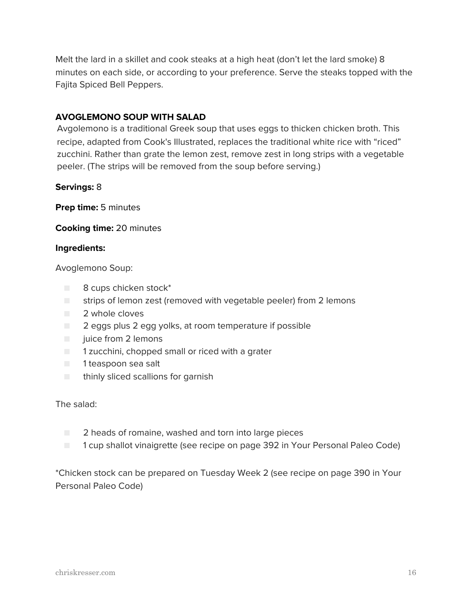Melt the lard in a skillet and cook steaks at a high heat (don't let the lard smoke) 8 minutes on each side, or according to your preference. Serve the steaks topped with the Fajita Spiced Bell Peppers.

# **AVOGLEMONO SOUP WITH SALAD**

Avgolemono is a traditional Greek soup that uses eggs to thicken chicken broth. This recipe, adapted from Cook's Illustrated, replaces the traditional white rice with "riced" zucchini. Rather than grate the lemon zest, remove zest in long strips with a vegetable peeler. (The strips will be removed from the soup before serving.)

#### **Servings:** 8

**Prep time:** 5 minutes

#### **Cooking time:** 20 minutes

#### **Ingredients:**

Avoglemono Soup:

- 8 cups chicken stock\*
- strips of lemon zest (removed with vegetable peeler) from 2 lemons
- 2 whole cloves
- 2 eggs plus 2 egg yolks, at room temperature if possible
- juice from 2 lemons
- 1 zucchini, chopped small or riced with a grater
- 1 teaspoon sea salt
- thinly sliced scallions for garnish

The salad:

- 2 heads of romaine, washed and torn into large pieces
- 1 cup shallot vinaigrette (see recipe on page 392 in Your Personal Paleo Code)

\*Chicken stock can be prepared on Tuesday Week 2 (see recipe on page 390 in Your Personal Paleo Code)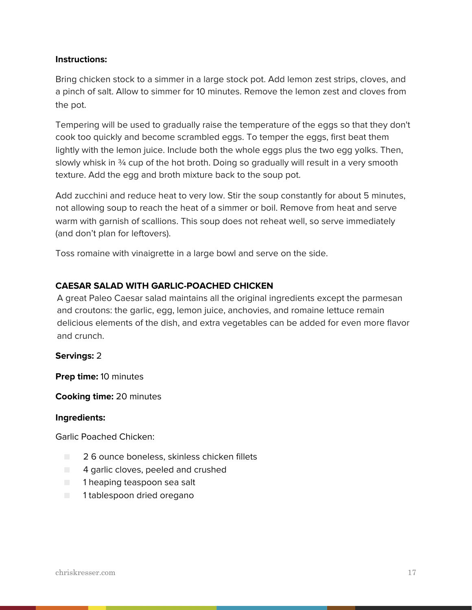Bring chicken stock to a simmer in a large stock pot. Add lemon zest strips, cloves, and a pinch of salt. Allow to simmer for 10 minutes. Remove the lemon zest and cloves from the pot.

Tempering will be used to gradually raise the temperature of the eggs so that they don't cook too quickly and become scrambled eggs. To temper the eggs, first beat them lightly with the lemon juice. Include both the whole eggs plus the two egg yolks. Then, slowly whisk in 34 cup of the hot broth. Doing so gradually will result in a very smooth texture. Add the egg and broth mixture back to the soup pot.

Add zucchini and reduce heat to very low. Stir the soup constantly for about 5 minutes, not allowing soup to reach the heat of a simmer or boil. Remove from heat and serve warm with garnish of scallions. This soup does not reheat well, so serve immediately (and don't plan for leftovers).

Toss romaine with vinaigrette in a large bowl and serve on the side.

# **CAESAR SALAD WITH GARLIC-POACHED CHICKEN**

A great Paleo Caesar salad maintains all the original ingredients except the parmesan and croutons: the garlic, egg, lemon juice, anchovies, and romaine lettuce remain delicious elements of the dish, and extra vegetables can be added for even more flavor and crunch.

#### **Servings:** 2

**Prep time:** 10 minutes

**Cooking time:** 20 minutes

#### **Ingredients:**

Garlic Poached Chicken:

- 2 6 ounce boneless, skinless chicken fillets
- 4 garlic cloves, peeled and crushed
- 1 heaping teaspoon sea salt
- 1 tablespoon dried oregano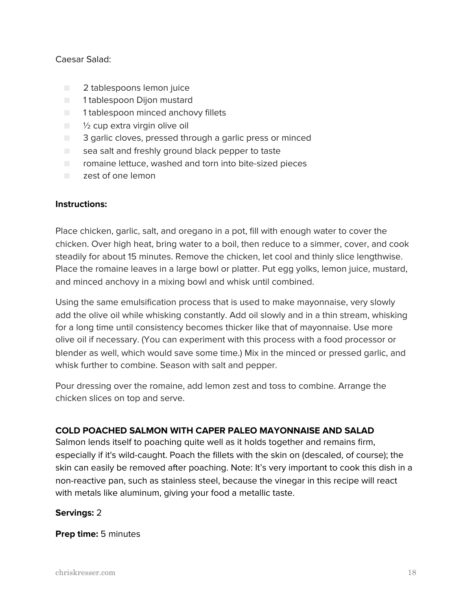### Caesar Salad:

- 2 tablespoons lemon juice
- 1 tablespoon Dijon mustard
- 1 tablespoon minced anchovy fillets
- $\blacksquare$   $\frac{1}{2}$  cup extra virgin olive oil
- 3 garlic cloves, pressed through a garlic press or minced
- $\Box$  sea salt and freshly ground black pepper to taste
- romaine lettuce, washed and torn into bite-sized pieces
- zest of one lemon

#### **Instructions:**

Place chicken, garlic, salt, and oregano in a pot, fill with enough water to cover the chicken. Over high heat, bring water to a boil, then reduce to a simmer, cover, and cook steadily for about 15 minutes. Remove the chicken, let cool and thinly slice lengthwise. Place the romaine leaves in a large bowl or platter. Put egg yolks, lemon juice, mustard, and minced anchovy in a mixing bowl and whisk until combined.

Using the same emulsification process that is used to make mayonnaise, very slowly add the olive oil while whisking constantly. Add oil slowly and in a thin stream, whisking for a long time until consistency becomes thicker like that of mayonnaise. Use more olive oil if necessary. (You can experiment with this process with a food processor or blender as well, which would save some time.) Mix in the minced or pressed garlic, and whisk further to combine. Season with salt and pepper.

Pour dressing over the romaine, add lemon zest and toss to combine. Arrange the chicken slices on top and serve.

# **COLD POACHED SALMON WITH CAPER PALEO MAYONNAISE AND SALAD**

Salmon lends itself to poaching quite well as it holds together and remains firm, especially if it's wild-caught. Poach the fillets with the skin on (descaled, of course); the skin can easily be removed after poaching. Note: It's very important to cook this dish in a non-reactive pan, such as stainless steel, because the vinegar in this recipe will react with metals like aluminum, giving your food a metallic taste.

# **Servings:** 2

**Prep time:** 5 minutes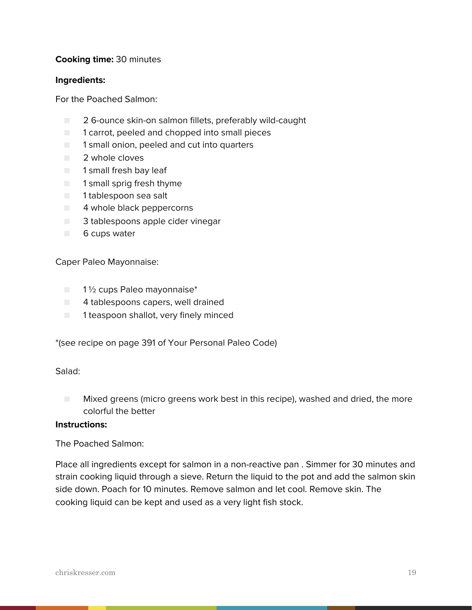# **Cooking time:** 30 minutes

#### **Ingredients:**

For the Poached Salmon:

- 2 6-ounce skin-on salmon fillets, preferably wild-caught
- 1 carrot, peeled and chopped into small pieces
- 1 small onion, peeled and cut into quarters
- 2 whole cloves
- 1 small fresh bay leaf
- 1 small sprig fresh thyme
- 1 tablespoon sea salt
- 4 whole black peppercorns
- 3 tablespoons apple cider vinegar
- 6 cups water

Caper Paleo Mayonnaise:

- 1½ cups Paleo mayonnaise<sup>\*</sup>
- 4 tablespoons capers, well drained
- 1 teaspoon shallot, very finely minced

\*(see recipe on page 391 of Your Personal Paleo Code)

#### Salad:

■ Mixed greens (micro greens work best in this recipe), washed and dried, the more colorful the better

#### **Instructions:**

The Poached Salmon:

Place all ingredients except for salmon in a non-reactive pan . Simmer for 30 minutes and strain cooking liquid through a sieve. Return the liquid to the pot and add the salmon skin side down. Poach for 10 minutes. Remove salmon and let cool. Remove skin. The cooking liquid can be kept and used as a very light fish stock.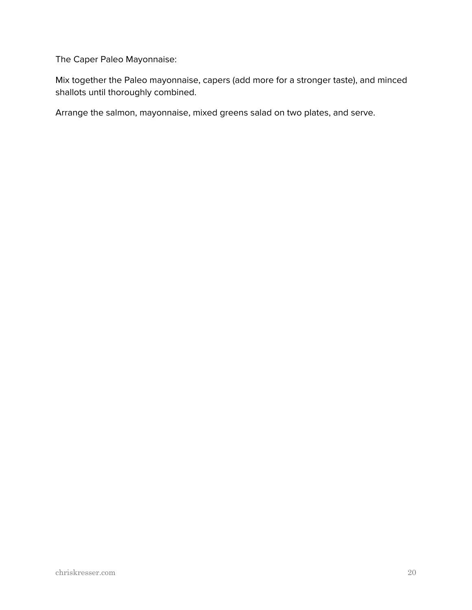The Caper Paleo Mayonnaise:

Mix together the Paleo mayonnaise, capers (add more for a stronger taste), and minced shallots until thoroughly combined.

Arrange the salmon, mayonnaise, mixed greens salad on two plates, and serve.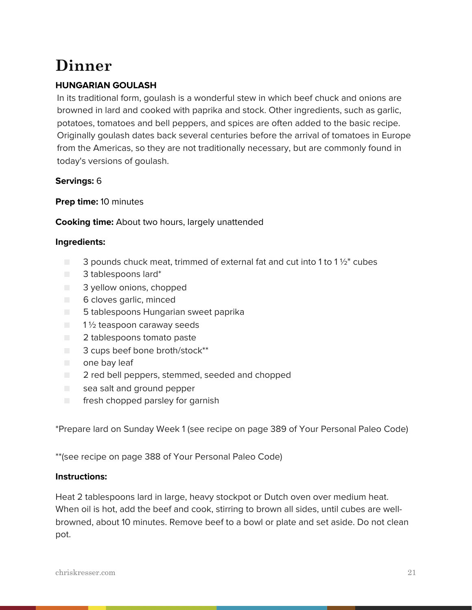# **Dinner**

# **HUNGARIAN GOULASH**

In its traditional form, goulash is a wonderful stew in which beef chuck and onions are browned in lard and cooked with paprika and stock. Other ingredients, such as garlic, potatoes, tomatoes and bell peppers, and spices are often added to the basic recipe. Originally goulash dates back several centuries before the arrival of tomatoes in Europe from the Americas, so they are not traditionally necessary, but are commonly found in today's versions of goulash.

# **Servings:** 6

# **Prep time:** 10 minutes

# **Cooking time:** About two hours, largely unattended

# **Ingredients:**

- $\Box$  3 pounds chuck meat, trimmed of external fat and cut into 1 to 1  $\frac{1}{2}$ " cubes
- 3 tablespoons lard\*
- 3 yellow onions, chopped
- 6 cloves garlic, minced
- 5 tablespoons Hungarian sweet paprika
- $\Box$  1  $\frac{1}{2}$  teaspoon caraway seeds
- 2 tablespoons tomato paste
- 3 cups beef bone broth/stock\*\*
- one bay leaf
- 2 red bell peppers, stemmed, seeded and chopped
- sea salt and ground pepper
- fresh chopped parsley for garnish

\*Prepare lard on Sunday Week 1 (see recipe on page 389 of Your Personal Paleo Code)

\*\*(see recipe on page 388 of Your Personal Paleo Code)

# **Instructions:**

Heat 2 tablespoons lard in large, heavy stockpot or Dutch oven over medium heat. When oil is hot, add the beef and cook, stirring to brown all sides, until cubes are wellbrowned, about 10 minutes. Remove beef to a bowl or plate and set aside. Do not clean pot.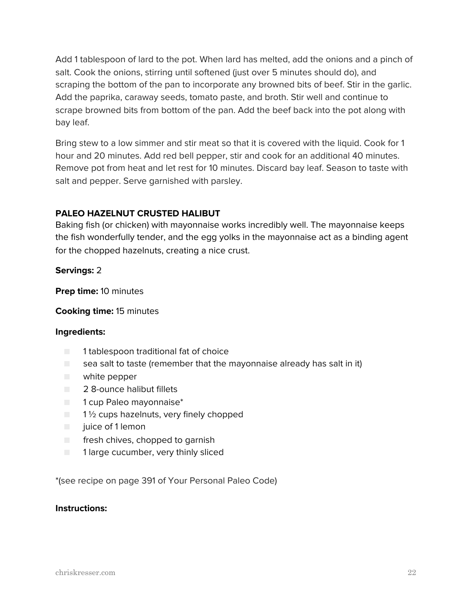Add 1 tablespoon of lard to the pot. When lard has melted, add the onions and a pinch of salt. Cook the onions, stirring until softened (just over 5 minutes should do), and scraping the bottom of the pan to incorporate any browned bits of beef. Stir in the garlic. Add the paprika, caraway seeds, tomato paste, and broth. Stir well and continue to scrape browned bits from bottom of the pan. Add the beef back into the pot along with bay leaf.

Bring stew to a low simmer and stir meat so that it is covered with the liquid. Cook for 1 hour and 20 minutes. Add red bell pepper, stir and cook for an additional 40 minutes. Remove pot from heat and let rest for 10 minutes. Discard bay leaf. Season to taste with salt and pepper. Serve garnished with parsley.

# **PALEO HAZELNUT CRUSTED HALIBUT**

Baking fish (or chicken) with mayonnaise works incredibly well. The mayonnaise keeps the fish wonderfully tender, and the egg yolks in the mayonnaise act as a binding agent for the chopped hazelnuts, creating a nice crust.

**Servings:** 2

**Prep time:** 10 minutes

**Cooking time:** 15 minutes

#### **Ingredients:**

- 1 tablespoon traditional fat of choice
- $\blacksquare$  sea salt to taste (remember that the mayonnaise already has salt in it)
- white pepper
- 2 8-ounce halibut fillets
- 1 cup Paleo mayonnaise<sup>\*</sup>
- $\Box$  1 1/2 cups hazelnuts, very finely chopped
- juice of 1 lemon
- fresh chives, chopped to garnish
- 1 large cucumber, very thinly sliced

\*(see recipe on page 391 of Your Personal Paleo Code)

#### **Instructions:**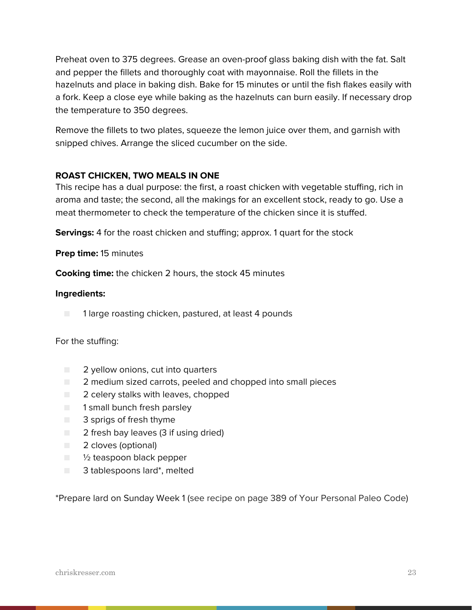Preheat oven to 375 degrees. Grease an oven-proof glass baking dish with the fat. Salt and pepper the fillets and thoroughly coat with mayonnaise. Roll the fillets in the hazelnuts and place in baking dish. Bake for 15 minutes or until the fish flakes easily with a fork. Keep a close eye while baking as the hazelnuts can burn easily. If necessary drop the temperature to 350 degrees.

Remove the fillets to two plates, squeeze the lemon juice over them, and garnish with snipped chives. Arrange the sliced cucumber on the side.

# **ROAST CHICKEN, TWO MEALS IN ONE**

This recipe has a dual purpose: the first, a roast chicken with vegetable stuffing, rich in aroma and taste; the second, all the makings for an excellent stock, ready to go. Use a meat thermometer to check the temperature of the chicken since it is stuffed.

**Servings:** 4 for the roast chicken and stuffing; approx. 1 quart for the stock

# **Prep time:** 15 minutes

**Cooking time:** the chicken 2 hours, the stock 45 minutes

#### **Ingredients:**

■ 1 large roasting chicken, pastured, at least 4 pounds

#### For the stuffing:

- **2** vellow onions, cut into quarters
- 2 medium sized carrots, peeled and chopped into small pieces
- 2 celery stalks with leaves, chopped
- 1 small bunch fresh parsley
- 3 sprigs of fresh thyme
- 2 fresh bay leaves (3 if using dried)
- 2 cloves (optional)
- <sup>1</sup>/<sub>2</sub> teaspoon black pepper
- 3 tablespoons lard\*, melted

\*Prepare lard on Sunday Week 1 (see recipe on page 389 of Your Personal Paleo Code)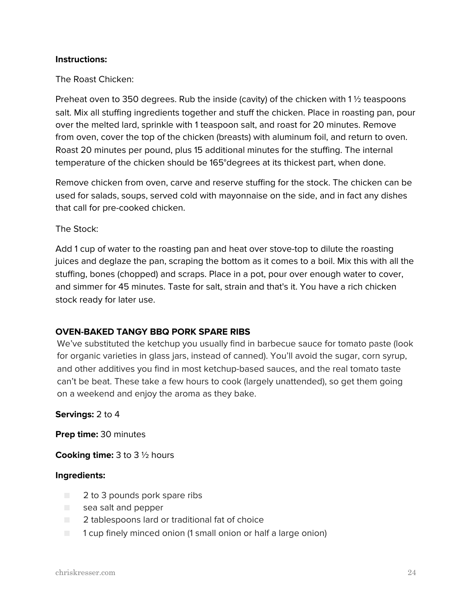The Roast Chicken:

Preheat oven to 350 degrees. Rub the inside (cavity) of the chicken with 1 ½ teaspoons salt. Mix all stuffing ingredients together and stuff the chicken. Place in roasting pan, pour over the melted lard, sprinkle with 1 teaspoon salt, and roast for 20 minutes. Remove from oven, cover the top of the chicken (breasts) with aluminum foil, and return to oven. Roast 20 minutes per pound, plus 15 additional minutes for the stuffing. The internal temperature of the chicken should be 165°degrees at its thickest part, when done.

Remove chicken from oven, carve and reserve stuffing for the stock. The chicken can be used for salads, soups, served cold with mayonnaise on the side, and in fact any dishes that call for pre-cooked chicken.

The Stock:

Add 1 cup of water to the roasting pan and heat over stove-top to dilute the roasting juices and deglaze the pan, scraping the bottom as it comes to a boil. Mix this with all the stuffing, bones (chopped) and scraps. Place in a pot, pour over enough water to cover, and simmer for 45 minutes. Taste for salt, strain and that's it. You have a rich chicken stock ready for later use.

# **OVEN-BAKED TANGY BBQ PORK SPARE RIBS**

We've substituted the ketchup you usually find in barbecue sauce for tomato paste (look for organic varieties in glass jars, instead of canned). You'll avoid the sugar, corn syrup, and other additives you find in most ketchup-based sauces, and the real tomato taste can't be beat. These take a few hours to cook (largely unattended), so get them going on a weekend and enjoy the aroma as they bake.

#### **Servings:** 2 to 4

**Prep time:** 30 minutes

**Cooking time:** 3 to 3 ½ hours

- 2 to 3 pounds pork spare ribs
- sea salt and pepper
- $\Box$  2 tablespoons lard or traditional fat of choice
- 1 cup finely minced onion (1 small onion or half a large onion)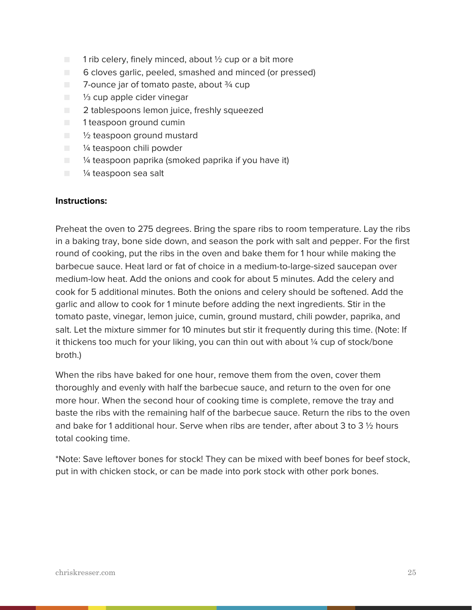- $\blacksquare$  1 rib celery, finely minced, about  $\frac{1}{2}$  cup or a bit more
- 6 cloves garlic, peeled, smashed and minced (or pressed)
- 7-ounce jar of tomato paste, about ¾ cup
- <sup>1/3</sup> cup apple cider vinegar
- 2 tablespoons lemon juice, freshly squeezed
- 1 teaspoon ground cumin
- 1/2 teaspoon ground mustard
- <sup>1/4</sup> teaspoon chili powder
- $\blacksquare$   $\mathcal V_4$  teaspoon paprika (smoked paprika if you have it)
- 1/4 teaspoon sea salt

Preheat the oven to 275 degrees. Bring the spare ribs to room temperature. Lay the ribs in a baking tray, bone side down, and season the pork with salt and pepper. For the first round of cooking, put the ribs in the oven and bake them for 1 hour while making the barbecue sauce. Heat lard or fat of choice in a medium-to-large-sized saucepan over medium-low heat. Add the onions and cook for about 5 minutes. Add the celery and cook for 5 additional minutes. Both the onions and celery should be softened. Add the garlic and allow to cook for 1 minute before adding the next ingredients. Stir in the tomato paste, vinegar, lemon juice, cumin, ground mustard, chili powder, paprika, and salt. Let the mixture simmer for 10 minutes but stir it frequently during this time. (Note: If it thickens too much for your liking, you can thin out with about  $\frac{1}{4}$  cup of stock/bone broth.)

When the ribs have baked for one hour, remove them from the oven, cover them thoroughly and evenly with half the barbecue sauce, and return to the oven for one more hour. When the second hour of cooking time is complete, remove the tray and baste the ribs with the remaining half of the barbecue sauce. Return the ribs to the oven and bake for 1 additional hour. Serve when ribs are tender, after about 3 to 3  $\frac{1}{2}$  hours total cooking time.

\*Note: Save leftover bones for stock! They can be mixed with beef bones for beef stock, put in with chicken stock, or can be made into pork stock with other pork bones.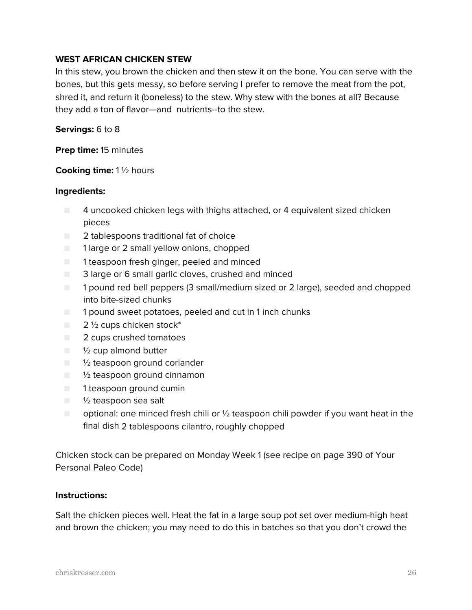# **WEST AFRICAN CHICKEN STEW**

In this stew, you brown the chicken and then stew it on the bone. You can serve with the bones, but this gets messy, so before serving I prefer to remove the meat from the pot, shred it, and return it (boneless) to the stew. Why stew with the bones at all? Because they add a ton of flavor—and nutrients--to the stew.

#### **Servings:** 6 to 8

**Prep time:** 15 minutes

#### **Cooking time:** 1 ½ hours

#### **Ingredients:**

- 4 uncooked chicken legs with thighs attached, or 4 equivalent sized chicken pieces
- 2 tablespoons traditional fat of choice
- 1 large or 2 small yellow onions, chopped
- 1 teaspoon fresh ginger, peeled and minced
- 3 large or 6 small garlic cloves, crushed and minced
- 1 pound red bell peppers (3 small/medium sized or 2 large), seeded and chopped into bite-sized chunks
- 1 pound sweet potatoes, peeled and cut in 1 inch chunks
- $\Box$  2  $\frac{1}{2}$  cups chicken stock\*
- 2 cups crushed tomatoes
- $\blacksquare$   $\frac{1}{2}$  cup almond butter
- <sup>1/2</sup> teaspoon ground coriander
- $\blacksquare$  1/2 teaspoon ground cinnamon
- 1 teaspoon ground cumin
- <sup>1</sup>/<sub>2</sub> teaspoon sea salt
- $\Box$  optional: one minced fresh chili or  $\frac{1}{2}$  teaspoon chili powder if you want heat in the final dish 2 tablespoons cilantro, roughly chopped

Chicken stock can be prepared on Monday Week 1 (see recipe on page 390 of Your Personal Paleo Code)

#### **Instructions:**

Salt the chicken pieces well. Heat the fat in a large soup pot set over medium-high heat and brown the chicken; you may need to do this in batches so that you don't crowd the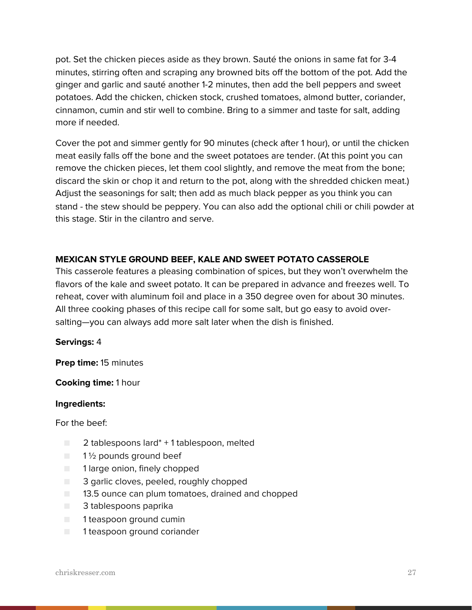pot. Set the chicken pieces aside as they brown. Sauté the onions in same fat for 3-4 minutes, stirring often and scraping any browned bits off the bottom of the pot. Add the ginger and garlic and sauté another 1-2 minutes, then add the bell peppers and sweet potatoes. Add the chicken, chicken stock, crushed tomatoes, almond butter, coriander, cinnamon, cumin and stir well to combine. Bring to a simmer and taste for salt, adding more if needed.

Cover the pot and simmer gently for 90 minutes (check after 1 hour), or until the chicken meat easily falls off the bone and the sweet potatoes are tender. (At this point you can remove the chicken pieces, let them cool slightly, and remove the meat from the bone; discard the skin or chop it and return to the pot, along with the shredded chicken meat.) Adjust the seasonings for salt; then add as much black pepper as you think you can stand - the stew should be peppery. You can also add the optional chili or chili powder at this stage. Stir in the cilantro and serve.

# **MEXICAN STYLE GROUND BEEF, KALE AND SWEET POTATO CASSEROLE**

This casserole features a pleasing combination of spices, but they won't overwhelm the flavors of the kale and sweet potato. It can be prepared in advance and freezes well. To reheat, cover with aluminum foil and place in a 350 degree oven for about 30 minutes. All three cooking phases of this recipe call for some salt, but go easy to avoid oversalting—you can always add more salt later when the dish is finished.

#### **Servings:** 4

**Prep time:** 15 minutes

#### **Cooking time:** 1 hour

#### **Ingredients:**

For the beef:

- $\Box$  2 tablespoons lard<sup>\*</sup> + 1 tablespoon, melted
- $\blacksquare$  1 1/2 pounds ground beef
- 1 large onion, finely chopped
- 3 garlic cloves, peeled, roughly chopped
- **13.5 ounce can plum tomatoes, drained and chopped**
- 3 tablespoons paprika
- 1 teaspoon ground cumin
- 1 teaspoon ground coriander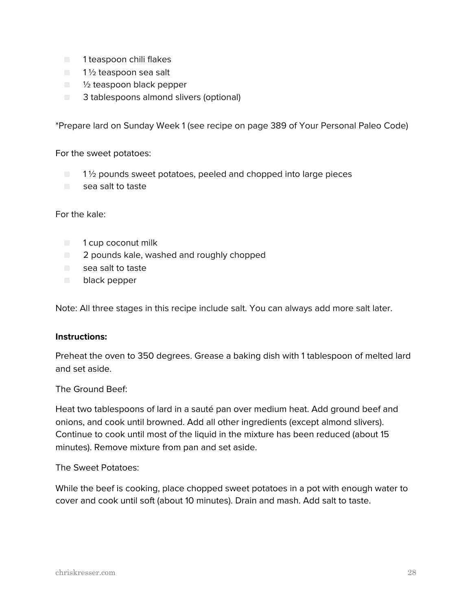- 1 teaspoon chili flakes
- $\blacksquare$  1 1/2 teaspoon sea salt
- ½ teaspoon black pepper
- 3 tablespoons almond slivers (optional)

\*Prepare lard on Sunday Week 1 (see recipe on page 389 of Your Personal Paleo Code)

#### For the sweet potatoes:

 $\Box$  1  $\%$  pounds sweet potatoes, peeled and chopped into large pieces ■ sea salt to taste

#### For the kale:

- 1 cup coconut milk
- $\Box$  2 pounds kale, washed and roughly chopped
- sea salt to taste
- black pepper

Note: All three stages in this recipe include salt. You can always add more salt later.

#### **Instructions:**

Preheat the oven to 350 degrees. Grease a baking dish with 1 tablespoon of melted lard and set aside.

#### The Ground Beef:

Heat two tablespoons of lard in a sauté pan over medium heat. Add ground beef and onions, and cook until browned. Add all other ingredients (except almond slivers). Continue to cook until most of the liquid in the mixture has been reduced (about 15 minutes). Remove mixture from pan and set aside.

The Sweet Potatoes:

While the beef is cooking, place chopped sweet potatoes in a pot with enough water to cover and cook until soft (about 10 minutes). Drain and mash. Add salt to taste.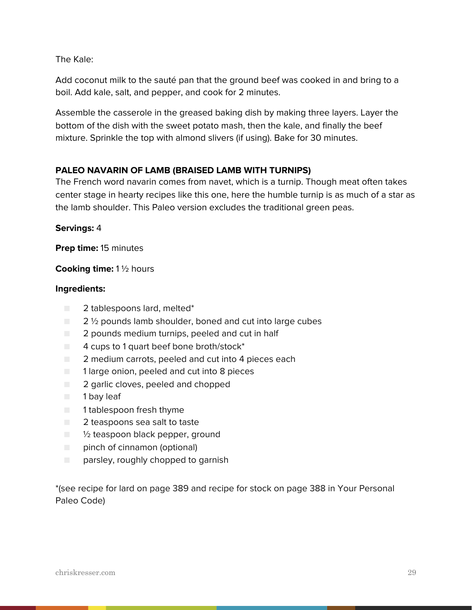The Kale:

Add coconut milk to the sauté pan that the ground beef was cooked in and bring to a boil. Add kale, salt, and pepper, and cook for 2 minutes.

Assemble the casserole in the greased baking dish by making three layers. Layer the bottom of the dish with the sweet potato mash, then the kale, and finally the beef mixture. Sprinkle the top with almond slivers (if using). Bake for 30 minutes.

# **PALEO NAVARIN OF LAMB (BRAISED LAMB WITH TURNIPS)**

The French word navarin comes from navet, which is a turnip. Though meat often takes center stage in hearty recipes like this one, here the humble turnip is as much of a star as the lamb shoulder. This Paleo version excludes the traditional green peas.

# **Servings:** 4

**Prep time:** 15 minutes

#### **Cooking time:** 1 ½ hours

#### **Ingredients:**

- 2 tablespoons lard, melted<sup>\*</sup>
- 2 <sup>1</sup>/<sub>2</sub> pounds lamb shoulder, boned and cut into large cubes
- $\Box$  2 pounds medium turnips, peeled and cut in half
- $\blacksquare$  4 cups to 1 quart beef bone broth/stock\*
- $\Box$  2 medium carrots, peeled and cut into 4 pieces each
- 1 large onion, peeled and cut into 8 pieces
- 2 garlic cloves, peeled and chopped
- 1 bay leaf
- 1 tablespoon fresh thyme
- 2 teaspoons sea salt to taste
- $\Box$   $\frac{1}{2}$  teaspoon black pepper, ground
- pinch of cinnamon (optional)
- parsley, roughly chopped to garnish

\*(see recipe for lard on page 389 and recipe for stock on page 388 in Your Personal Paleo Code)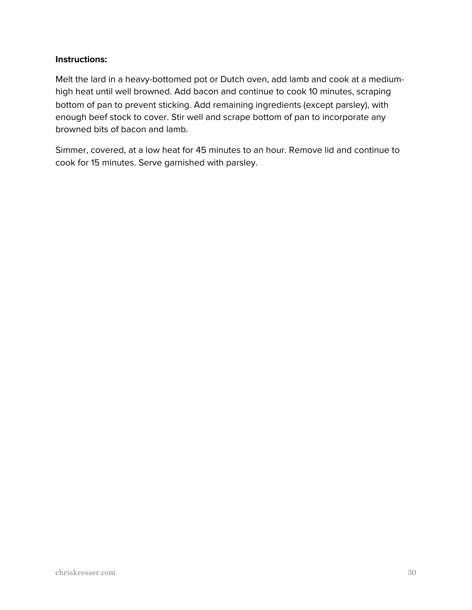Melt the lard in a heavy-bottomed pot or Dutch oven, add lamb and cook at a mediumhigh heat until well browned. Add bacon and continue to cook 10 minutes, scraping bottom of pan to prevent sticking. Add remaining ingredients (except parsley), with enough beef stock to cover. Stir well and scrape bottom of pan to incorporate any browned bits of bacon and lamb.

Simmer, covered, at a low heat for 45 minutes to an hour. Remove lid and continue to cook for 15 minutes. Serve garnished with parsley.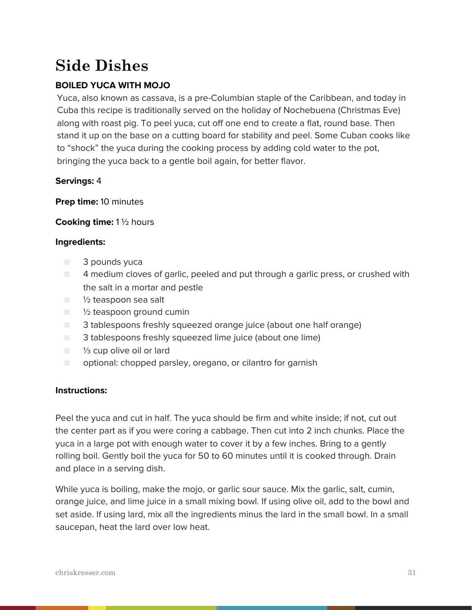# **Side Dishes**

# **BOILED YUCA WITH MOJO**

Yuca, also known as cassava, is a pre-Columbian staple of the Caribbean, and today in Cuba this recipe is traditionally served on the holiday of Nochebuena (Christmas Eve) along with roast pig. To peel yuca, cut off one end to create a flat, round base. Then stand it up on the base on a cutting board for stability and peel. Some Cuban cooks like to "shock" the yuca during the cooking process by adding cold water to the pot, bringing the yuca back to a gentle boil again, for better flavor.

# **Servings:** 4

**Prep time:** 10 minutes

# **Cooking time:** 1 ½ hours

# **Ingredients:**

- 3 pounds yuca
- 4 medium cloves of garlic, peeled and put through a garlic press, or crushed with the salt in a mortar and pestle
- 1/2 teaspoon sea salt
- ½ teaspoon ground cumin
- 3 tablespoons freshly squeezed orange juice (about one half orange)
- 3 tablespoons freshly squeezed lime juice (about one lime)
- <sup>1/3</sup> cup olive oil or lard
- optional: chopped parsley, oregano, or cilantro for garnish

# **Instructions:**

Peel the yuca and cut in half. The yuca should be firm and white inside; if not, cut out the center part as if you were coring a cabbage. Then cut into 2 inch chunks. Place the yuca in a large pot with enough water to cover it by a few inches. Bring to a gently rolling boil. Gently boil the yuca for 50 to 60 minutes until it is cooked through. Drain and place in a serving dish.

While yuca is boiling, make the mojo, or garlic sour sauce. Mix the garlic, salt, cumin, orange juice, and lime juice in a small mixing bowl. If using olive oil, add to the bowl and set aside. If using lard, mix all the ingredients minus the lard in the small bowl. In a small saucepan, heat the lard over low heat.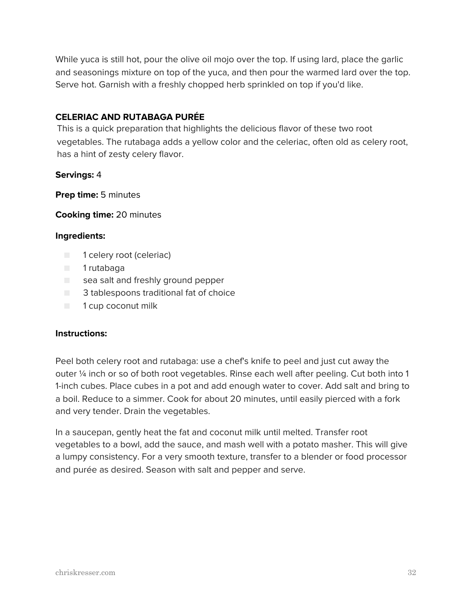While yuca is still hot, pour the olive oil mojo over the top. If using lard, place the garlic and seasonings mixture on top of the yuca, and then pour the warmed lard over the top. Serve hot. Garnish with a freshly chopped herb sprinkled on top if you'd like.

# **CELERIAC AND RUTABAGA PURÉE**

This is a quick preparation that highlights the delicious flavor of these two root vegetables. The rutabaga adds a yellow color and the celeriac, often old as celery root, has a hint of zesty celery flavor.

# **Servings:** 4

**Prep time:** 5 minutes

**Cooking time:** 20 minutes

#### **Ingredients:**

- 1 celery root (celeriac)
- 1 rutabaga
- sea salt and freshly ground pepper
- 3 tablespoons traditional fat of choice
- 1 cup coconut milk

# **Instructions:**

Peel both celery root and rutabaga: use a chef's knife to peel and just cut away the outer ¼ inch or so of both root vegetables. Rinse each well after peeling. Cut both into 1 1-inch cubes. Place cubes in a pot and add enough water to cover. Add salt and bring to a boil. Reduce to a simmer. Cook for about 20 minutes, until easily pierced with a fork and very tender. Drain the vegetables.

In a saucepan, gently heat the fat and coconut milk until melted. Transfer root vegetables to a bowl, add the sauce, and mash well with a potato masher. This will give a lumpy consistency. For a very smooth texture, transfer to a blender or food processor and purée as desired. Season with salt and pepper and serve.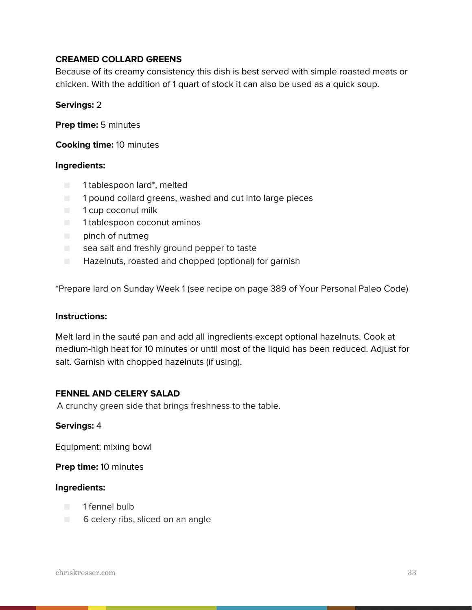# **CREAMED COLLARD GREENS**

Because of its creamy consistency this dish is best served with simple roasted meats or chicken. With the addition of 1 quart of stock it can also be used as a quick soup.

#### **Servings:** 2

**Prep time:** 5 minutes

**Cooking time:** 10 minutes

#### **Ingredients:**

- 1 tablespoon lard\*, melted
- 1 pound collard greens, washed and cut into large pieces
- 1 cup coconut milk
- 1 tablespoon coconut aminos
- pinch of nutmeg
- sea salt and freshly ground pepper to taste
- Hazelnuts, roasted and chopped (optional) for garnish

\*Prepare lard on Sunday Week 1 (see recipe on page 389 of Your Personal Paleo Code)

#### **Instructions:**

Melt lard in the sauté pan and add all ingredients except optional hazelnuts. Cook at medium-high heat for 10 minutes or until most of the liquid has been reduced. Adjust for salt. Garnish with chopped hazelnuts (if using).

#### **FENNEL AND CELERY SALAD**

A crunchy green side that brings freshness to the table.

#### **Servings:** 4

Equipment: mixing bowl

**Prep time:** 10 minutes

- 1 fennel bulb
- 6 celery ribs, sliced on an angle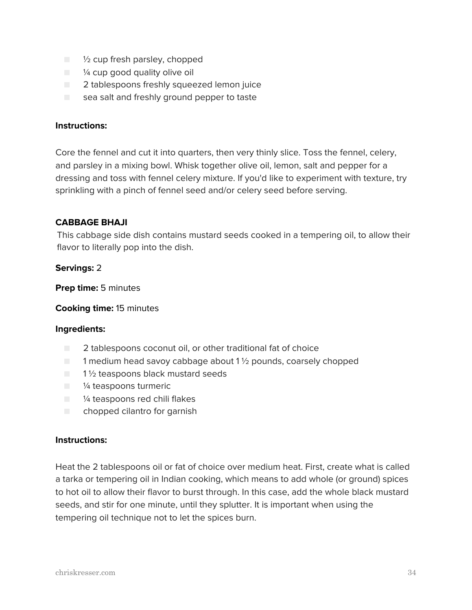- $\blacksquare$   $\mathcal V_2$  cup fresh parsley, chopped
- $\blacksquare$  % cup good quality olive oil
- 2 tablespoons freshly squeezed lemon juice
- sea salt and freshly ground pepper to taste

Core the fennel and cut it into quarters, then very thinly slice. Toss the fennel, celery, and parsley in a mixing bowl. Whisk together olive oil, lemon, salt and pepper for a dressing and toss with fennel celery mixture. If you'd like to experiment with texture, try sprinkling with a pinch of fennel seed and/or celery seed before serving.

#### **CABBAGE BHAJI**

This cabbage side dish contains mustard seeds cooked in a tempering oil, to allow their flavor to literally pop into the dish.

#### **Servings:** 2

**Prep time:** 5 minutes

**Cooking time:** 15 minutes

#### **Ingredients:**

- 2 tablespoons coconut oil, or other traditional fat of choice
- $\blacksquare$  1 medium head savoy cabbage about 1  $\frac{1}{2}$  pounds, coarsely chopped
- $\Box$  1  $\frac{1}{2}$  teaspoons black mustard seeds
- <sup>1/4</sup> teaspoons turmeric
- <sup>1/4</sup> teaspoons red chili flakes
- chopped cilantro for garnish

#### **Instructions:**

Heat the 2 tablespoons oil or fat of choice over medium heat. First, create what is called a tarka or tempering oil in Indian cooking, which means to add whole (or ground) spices to hot oil to allow their flavor to burst through. In this case, add the whole black mustard seeds, and stir for one minute, until they splutter. It is important when using the tempering oil technique not to let the spices burn.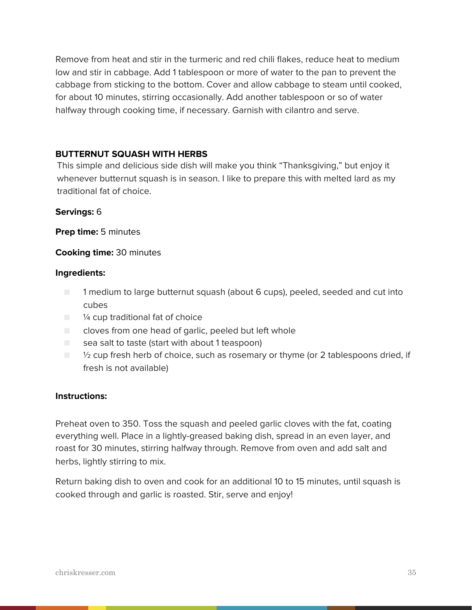Remove from heat and stir in the turmeric and red chili flakes, reduce heat to medium low and stir in cabbage. Add 1 tablespoon or more of water to the pan to prevent the cabbage from sticking to the bottom. Cover and allow cabbage to steam until cooked, for about 10 minutes, stirring occasionally. Add another tablespoon or so of water halfway through cooking time, if necessary. Garnish with cilantro and serve.

# **BUTTERNUT SQUASH WITH HERBS**

This simple and delicious side dish will make you think "Thanksgiving," but enjoy it whenever butternut squash is in season. I like to prepare this with melted lard as my traditional fat of choice.

#### **Servings:** 6

**Prep time:** 5 minutes

#### **Cooking time:** 30 minutes

#### **Ingredients:**

- 1 medium to large butternut squash (about 6 cups), peeled, seeded and cut into cubes
- <sup>1/4</sup> cup traditional fat of choice
- cloves from one head of garlic, peeled but left whole
- $\Box$  sea salt to taste (start with about 1 teaspoon)
- <sup>1</sup>/<sub>2</sub> cup fresh herb of choice, such as rosemary or thyme (or 2 tablespoons dried, if fresh is not available)

#### **Instructions:**

Preheat oven to 350. Toss the squash and peeled garlic cloves with the fat, coating everything well. Place in a lightly-greased baking dish, spread in an even layer, and roast for 30 minutes, stirring halfway through. Remove from oven and add salt and herbs, lightly stirring to mix.

Return baking dish to oven and cook for an additional 10 to 15 minutes, until squash is cooked through and garlic is roasted. Stir, serve and enjoy!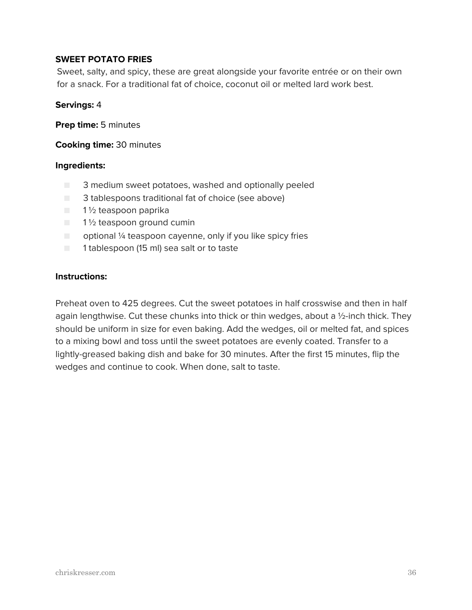# **SWEET POTATO FRIES**

Sweet, salty, and spicy, these are great alongside your favorite entrée or on their own for a snack. For a traditional fat of choice, coconut oil or melted lard work best.

#### **Servings:** 4

**Prep time:** 5 minutes

**Cooking time:** 30 minutes

#### **Ingredients:**

- 3 medium sweet potatoes, washed and optionally peeled
- 3 tablespoons traditional fat of choice (see above)
- 1½ teaspoon paprika
- $\blacksquare$  1 1/2 teaspoon ground cumin
- $\Box$  optional 1/4 teaspoon cayenne, only if you like spicy fries
- 1 tablespoon (15 ml) sea salt or to taste

#### **Instructions:**

Preheat oven to 425 degrees. Cut the sweet potatoes in half crosswise and then in half again lengthwise. Cut these chunks into thick or thin wedges, about a ½-inch thick. They should be uniform in size for even baking. Add the wedges, oil or melted fat, and spices to a mixing bowl and toss until the sweet potatoes are evenly coated. Transfer to a lightly-greased baking dish and bake for 30 minutes. After the first 15 minutes, flip the wedges and continue to cook. When done, salt to taste.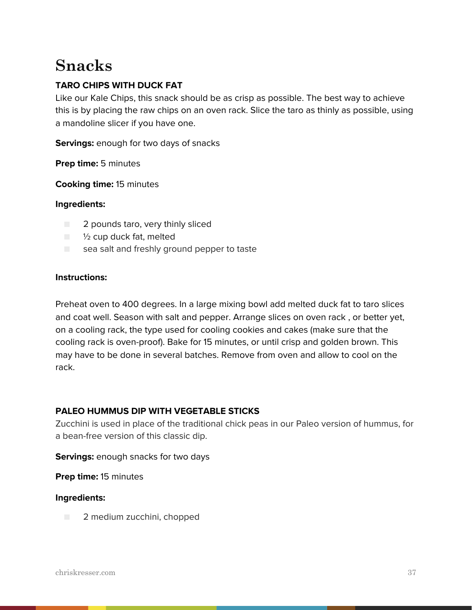# **Snacks**

# **TARO CHIPS WITH DUCK FAT**

Like our Kale Chips, this snack should be as crisp as possible. The best way to achieve this is by placing the raw chips on an oven rack. Slice the taro as thinly as possible, using a mandoline slicer if you have one.

**Servings:** enough for two days of snacks

**Prep time:** 5 minutes

**Cooking time:** 15 minutes

#### **Ingredients:**

- 2 pounds taro, very thinly sliced
- $\blacksquare$   $\frac{1}{2}$  cup duck fat, melted
- sea salt and freshly ground pepper to taste

#### **Instructions:**

Preheat oven to 400 degrees. In a large mixing bowl add melted duck fat to taro slices and coat well. Season with salt and pepper. Arrange slices on oven rack , or better yet, on a cooling rack, the type used for cooling cookies and cakes (make sure that the cooling rack is oven-proof). Bake for 15 minutes, or until crisp and golden brown. This may have to be done in several batches. Remove from oven and allow to cool on the rack.

# **PALEO HUMMUS DIP WITH VEGETABLE STICKS**

Zucchini is used in place of the traditional chick peas in our Paleo version of hummus, for a bean-free version of this classic dip.

#### **Servings:** enough snacks for two days

**Prep time:** 15 minutes

#### **Ingredients:**

■ 2 medium zucchini, chopped